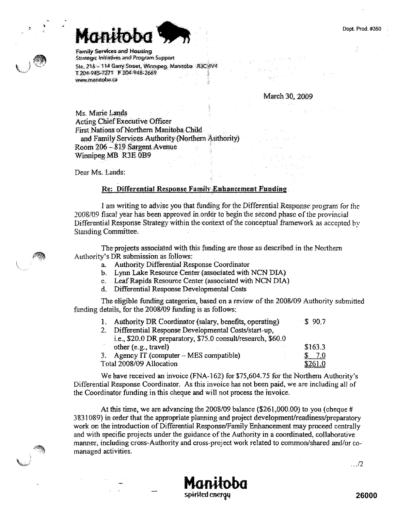Dept. Prod. #350

**Family Services and Housing** Strategic Initiatives and Program Support Sie, 216 - 114 Garry Street, Winnipeg, Manitoba R3C 4V4 T 204 945-7271 F 204-948-2669 www.manitoba.ca

March 30, 2009

Acting Chief Executive Officer First Nations of Northern Manitoba Child and Family Services Authority (Northern Authority) Room 206 – 819 Sargent Avenue Winnipeg MB R3E 0B9

Dear Ms. Lands:

Ms. Marie Lands

## Re: Differential Response Family Enhancement Funding

I am writing to advise you that funding for the Differential Response program for the 2008/09 fiscal year has been approved in order to begin the second phase of the provincial Differential Response Strategy within the context of the conceptual framework as accepted by **Standing Committee.** 

The projects associated with this funding are those as described in the Northern Authority's DR submission as follows:

- a. Authority Differential Response Coordinator
- b. Lynn Lake Resource Center (associated with NCN DIA)
- c. Leaf Rapids Resource Center (associated with NCN DIA)
- d. Differential Response Developmental Costs

The eligible funding categories, based on a review of the 2008/09 Authority submitted funding details, for the 2008/09 funding is as follows:

| Ł.                       | Authority DR Coordinator (salary, benefits, operating)       | \$90.7  |
|--------------------------|--------------------------------------------------------------|---------|
|                          | Differential Response Developmental Costs/start-up,          |         |
|                          | i.e., \$20.0 DR preparatory, \$75.0 consult/research, \$60.0 |         |
|                          | other (e.g., travel)                                         | \$163.3 |
|                          | Agency IT (computer - MES compatible)                        | 7.0     |
| Total 2008/09 Allocation |                                                              | \$261.0 |

We have received an invoice (FNA-162) for \$75,604.75 for the Northern Authority's Differential Response Coordinator. As this invoice has not been paid, we are including all of the Coordinator funding in this cheque and will not process the invoice.

At this time, we are advancing the 2008/09 balance (\$261,000.00) to you (cheque # 3831089) in order that the appropriate planning and project development/readiness/preparatory work on the introduction of Differential Response/Family Enhancement may proceed centrally and with specific projects under the guidance of the Authority in a coordinated, collaborative manner, including cross-Authority and cross-project work related to common/shared and/or comanaged activities.

spirited energy

 $\ldots$ /2

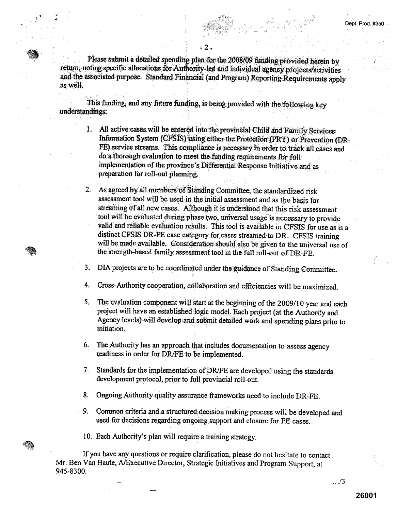Please submit a detailed spending plan for the 2008/09 funding provided herein by return, noting specific allocations for Authority*-led* and .individual *agency projects./activities*  and the associated purpose. Standard Financial (and Program) *Reporting* Requirements apply as well.

- 2 -

This funding, and any future funding, is being provided with the following key understandings:

> 1. All active *cases will be* entered *into;the provincial Child and Family Services*  Information System *(CFSIS) using' either the* Protection (PRT) or Prevention (DR-FE) service streams. This compliance is necessary in order to track all cases and do .'a thorough evaluation **to** meet the funding requirements: for full implementation of the province's Differential. Response Initiative and as preparation for roll-out planning.

> ?. As agreed by all *members* of Standing committee the standardized *risk*  assessment tool will be used in the initial assessment and *as* the basis for streaming of *all* new cases. Although it is understood that this risk assessment • tool will be evaluated during phase two, universal usage is necessary *to* provide *valid and* reliable *evaluation results. This* tool is available in CFSIS for use. as is .a distinct CFSIS DR-FE case category for cases streamed to DR\_ CFSIS training will be made available. Consideration should also be given to the universal use of the strength-based family assessment tool in the full roil-out of DR-FE.

3. DIA projects are to be coordinated under the guidance of Standing Committee.

- 4. Cross-Authority cooperation, collaboration and efficiencies will be maximized.
- 5. The evaluation component will start at the beginning of the 2009/10 year and each project will have an established logic model. Each project (at the Authority and Agency levels) will develop and submit detailed work and spending plans prior to initiation.
- 6. The Authority has an approach that includes documentation to assess agency readiness in order *for DR/FE to* be implemented.
- 7. Standards for the implementation of DR/FE are developed using the standards development protocol, prior to full provincial roll-out.
- 8. Ongoing Authority quality assurance frameworks need to include DR-FE.
- 9. Common criteria and a structured decision making process will be developed and used for decisions regarding ongoing support and closure for FE cases.

10. Each Authority's plan will require a training strategy.

If you have any questions or require clarification, please do not hesitate to contact Mr. Ben Van Haute, A/Executive Director, Strategic Initiatives and Program Support, at 945-8300.

.../3

Dept. Prod. #350